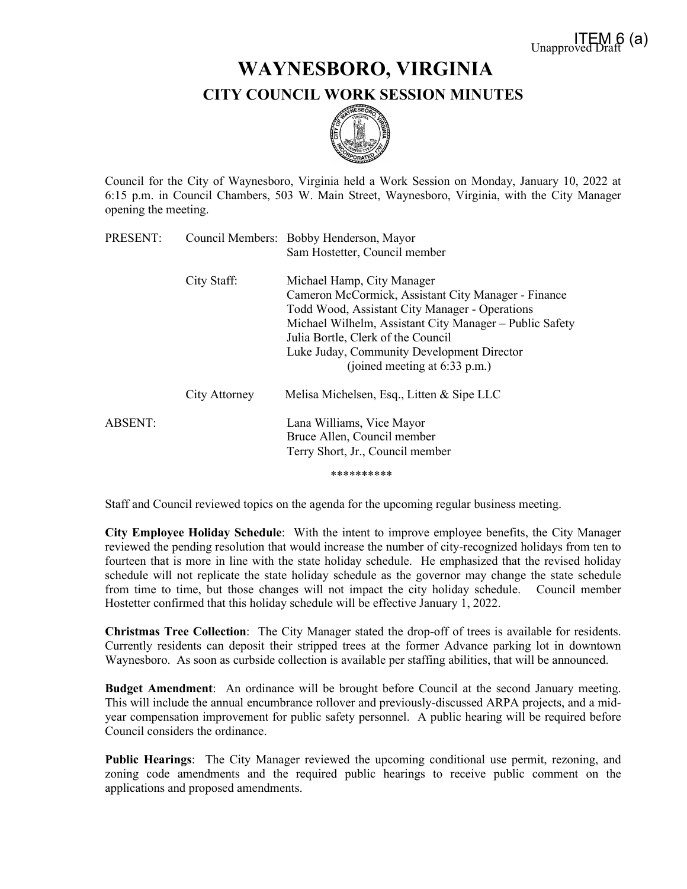## **WAYNESBORO, VIRGINIA CITY COUNCIL WORK SESSION MINUTES**



Council for the City of Waynesboro, Virginia held a Work Session on Monday, January 10, 2022 at 6:15 p.m. in Council Chambers, 503 W. Main Street, Waynesboro, Virginia, with the City Manager opening the meeting.

| PRESENT: |               | Council Members: Bobby Henderson, Mayor                                                                                                                                                                                                                                                                             |
|----------|---------------|---------------------------------------------------------------------------------------------------------------------------------------------------------------------------------------------------------------------------------------------------------------------------------------------------------------------|
|          |               | Sam Hostetter, Council member                                                                                                                                                                                                                                                                                       |
|          | City Staff:   | Michael Hamp, City Manager<br>Cameron McCormick, Assistant City Manager - Finance<br>Todd Wood, Assistant City Manager - Operations<br>Michael Wilhelm, Assistant City Manager – Public Safety<br>Julia Bortle, Clerk of the Council<br>Luke Juday, Community Development Director<br>(joined meeting at 6:33 p.m.) |
|          | City Attorney | Melisa Michelsen, Esq., Litten & Sipe LLC                                                                                                                                                                                                                                                                           |
| ABSENT:  |               | Lana Williams, Vice Mayor<br>Bruce Allen, Council member<br>Terry Short, Jr., Council member                                                                                                                                                                                                                        |
|          |               | **********                                                                                                                                                                                                                                                                                                          |

Staff and Council reviewed topics on the agenda for the upcoming regular business meeting.

**City Employee Holiday Schedule**: With the intent to improve employee benefits, the City Manager reviewed the pending resolution that would increase the number of city-recognized holidays from ten to fourteen that is more in line with the state holiday schedule. He emphasized that the revised holiday schedule will not replicate the state holiday schedule as the governor may change the state schedule from time to time, but those changes will not impact the city holiday schedule. Council member Hostetter confirmed that this holiday schedule will be effective January 1, 2022.

**Christmas Tree Collection**: The City Manager stated the drop-off of trees is available for residents. Currently residents can deposit their stripped trees at the former Advance parking lot in downtown Waynesboro. As soon as curbside collection is available per staffing abilities, that will be announced.

**Budget Amendment**: An ordinance will be brought before Council at the second January meeting. This will include the annual encumbrance rollover and previously-discussed ARPA projects, and a midyear compensation improvement for public safety personnel. A public hearing will be required before Council considers the ordinance.

**Public Hearings**: The City Manager reviewed the upcoming conditional use permit, rezoning, and zoning code amendments and the required public hearings to receive public comment on the applications and proposed amendments.